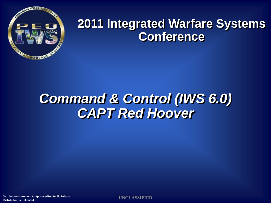

### **2011 Integrated Warfare Systems Conference**

## *Command & Control (IWS 6.0) CAPT Red Hoover*

**Distribution Statement A: Approved for Public Release: Distribution is Unlimited UNCLASSIFIED**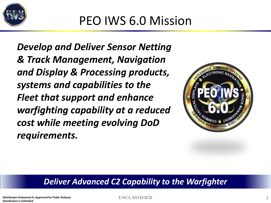

*Develop and Deliver Sensor Netting & Track Management, Navigation and Display & Processing products, systems and capabilities to the Fleet that support and enhance warfighting capability at a reduced cost while meeting evolving DoD requirements.*



#### *Deliver Advanced C2 Capability to the Warfighter*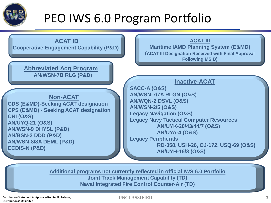

# PEO IWS 6.0 Program Portfolio



**Additional programs not currently reflected in official IWS 6.0 Portfolio Joint Track Management Capability (TD) Naval Integrated Fire Control Counter-Air (TD)**

**Distribution Statement A: Approved for Public Release; 3 Distribution is Unlimited**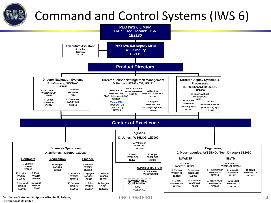

## Command and Control Systems (IWS 6)



**Distribution Statement A: Approved for Public Release; 4 Distribution is Unlimited**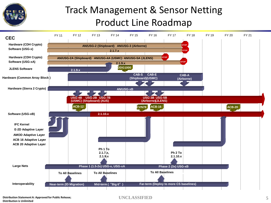

### Track Management & Sensor Netting Product Line Roadmap



**Distribution Statement A: Approved for Public Release; Distribution is Unlimited**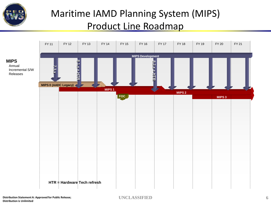

### Maritime IAMD Planning System (MIPS) Product Line Roadmap

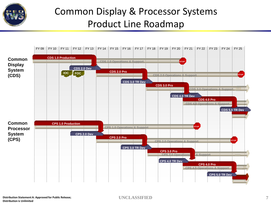

### Common Display & Processor Systems Product Line Roadmap

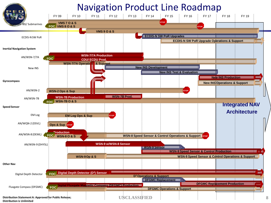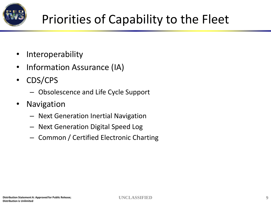

# Priorities of Capability to the Fleet

- **Interoperability**
- Information Assurance (IA)
- CDS/CPS
	- Obsolescence and Life Cycle Support
- Navigation
	- Next Generation Inertial Navigation
	- Next Generation Digital Speed Log
	- Common / Certified Electronic Charting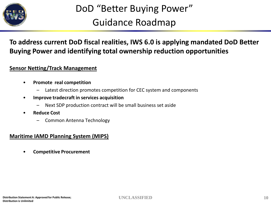

DoD "Better Buying Power" Guidance Roadmap

#### **To address current DoD fiscal realities, IWS 6.0 is applying mandated DoD Better Buying Power and identifying total ownership reduction opportunities**

#### **Sensor Netting/Track Management**

- **Promote real competition**
	- Latest direction promotes competition for CEC system and components
- **Improve tradecraft in services acquisition**
	- Next SDP production contract will be small business set aside
- **Reduce Cost**
	- Common Antenna Technology

#### **Maritime IAMD Planning System (MIPS)**

• **Competitive Procurement**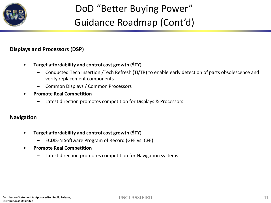

### DoD "Better Buying Power" Guidance Roadmap (Cont'd)

#### **Displays and Processors (DSP)**

- **Target affordability and control cost growth (\$TY)**
	- Conducted Tech Insertion /Tech Refresh (TI/TR) to enable early detection of parts obsolescence and verify replacement components
	- Common Displays / Common Processors
- **Promote Real Competition**
	- Latest direction promotes competition for Displays & Processors

#### **Navigation**

- **Target affordability and control cost growth (\$TY)**
	- ECDIS-N Software Program of Record (GFE vs. CFE)
- **Promote Real Competition**
	- Latest direction promotes competition for Navigation systems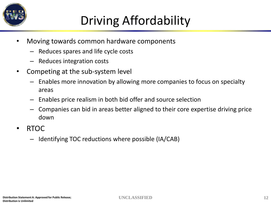

# Driving Affordability

- Moving towards common hardware components
	- Reduces spares and life cycle costs
	- Reduces integration costs
- Competing at the sub-system level
	- Enables more innovation by allowing more companies to focus on specialty areas
	- Enables price realism in both bid offer and source selection
	- Companies can bid in areas better aligned to their core expertise driving price down
- RTOC
	- Identifying TOC reductions where possible (IA/CAB)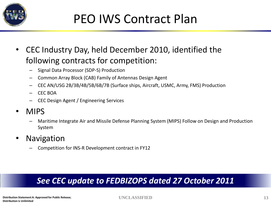

# PEO IWS Contract Plan

- CEC Industry Day, held December 2010, identified the following contracts for competition:
	- Signal Data Processor (SDP-S) Production
	- Common Array Block (CAB) Family of Antennas Design Agent
	- CEC AN/USG 2B/3B/4B/5B/6B/7B (Surface ships, Aircraft, USMC, Army, FMS) Production
	- CEC BOA
	- CEC Design Agent / Engineering Services
- MIPS
	- Maritime Integrate Air and Missile Defense Planning System (MIPS) Follow on Design and Production System
- **Navigation** 
	- Competition for INS-R Development contract in FY12

### *See CEC update to FEDBIZOPS dated 27 October 2011*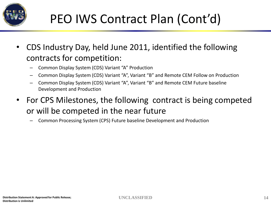

# PEO IWS Contract Plan (Cont'd)

- CDS Industry Day, held June 2011, identified the following contracts for competition:
	- Common Display System (CDS) Variant "A" Production
	- Common Display System (CDS) Variant "A", Variant "B" and Remote CEM Follow on Production
	- Common Display System (CDS) Variant "A", Variant "B" and Remote CEM Future baseline Development and Production
- For CPS Milestones, the following contract is being competed or will be competed in the near future
	- Common Processing System (CPS) Future baseline Development and Production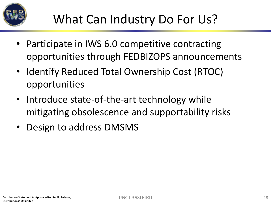

- Participate in IWS 6.0 competitive contracting opportunities through FEDBIZOPS announcements
- Identify Reduced Total Ownership Cost (RTOC) opportunities
- Introduce state-of-the-art technology while mitigating obsolescence and supportability risks
- Design to address DMSMS